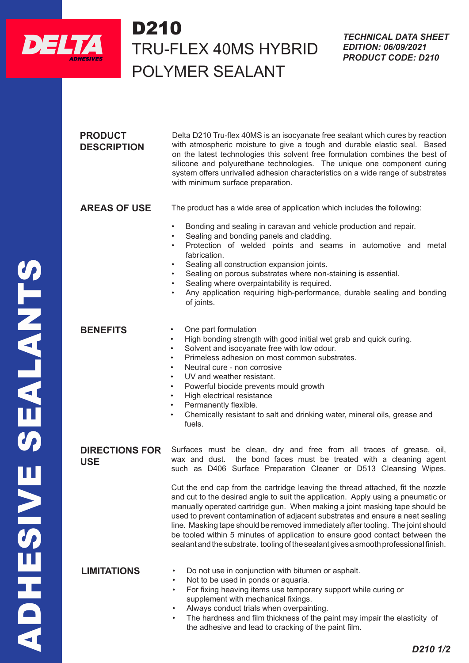

## D210 TRU-FLEX 40MS HYBRID POLYMER SEALANT  $D210$

**PRODUCT DESCRIPTION** Delta D210 Tru-flex 40MS is an isocyanate free sealant which cures by reaction with atmospheric moisture to give a tough and durable elastic seal. Based on the latest technologies this solvent free formulation combines the best of silicone and polyurethane technologies. The unique one component curing system offers unrivalled adhesion characteristics on a wide range of substrates with minimum surface preparation. **AREAS OF USE** The product has a wide area of application which includes the following: • Bonding and sealing in caravan and vehicle production and repair. Sealing and bonding panels and cladding. • Protection of welded points and seams in automotive and metal fabrication. Sealing all construction expansion joints. Sealing on porous substrates where non-staining is essential. Sealing where overpaintability is required. • Any application requiring high-performance, durable sealing and bonding of joints. **BENEFITS** • One part formulation • High bonding strength with good initial wet grab and quick curing. Solvent and isocyanate free with low odour. • Primeless adhesion on most common substrates. • Neutral cure - non corrosive UV and weather resistant. • Powerful biocide prevents mould growth • High electrical resistance Permanently flexible. • Chemically resistant to salt and drinking water, mineral oils, grease and fuels. **DIRECTIONS FOR USE** Surfaces must be clean, dry and free from all traces of grease, oil, wax and dust. the bond faces must be treated with a cleaning agent such as D406 Surface Preparation Cleaner or D513 Cleansing Wipes. Cut the end cap from the cartridge leaving the thread attached, fit the nozzle and cut to the desired angle to suit the application. Apply using a pneumatic or manually operated cartridge gun. When making a joint masking tape should be used to prevent contamination of adjacent substrates and ensure a neat sealing line. Masking tape should be removed immediately after tooling. The joint should be tooled within 5 minutes of application to ensure good contact between the sealant and the substrate. tooling of the sealant gives a smooth professional finish.

- **LIMITATIONS** Do not use in conjunction with bitumen or asphalt.
	- Not to be used in ponds or aquaria.
	- For fixing heaving items use temporary support while curing or supplement with mechanical fixings.
	- Always conduct trials when overpainting.
	- The hardness and film thickness of the paint may impair the elasticity of the adhesive and lead to cracking of the paint film.